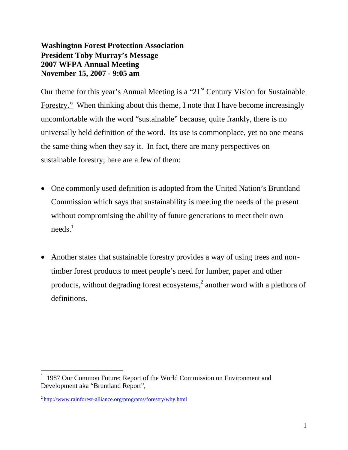**Washington Forest Protection Association President Toby Murray's Message 2007 WFPA Annual Meeting November 15, 2007 - 9:05 am**

Our theme for this year's Annual Meeting is a " $21<sup>st</sup>$  Century Vision for Sustainable Forestry." When thinking about this theme, I note that I have become increasingly uncomfortable with the word "sustainable" because, quite frankly, there is no universally held definition of the word. Its use is commonplace, yet no one means the same thing when they say it. In fact, there are many perspectives on sustainable forestry; here are a few of them:

- One commonly used definition is adopted from the United Nation's Bruntland Commission which says that sustainability is meeting the needs of the present without compromising the ability of future generations to meet their own  $need$ s.<sup>1</sup>
- Another states that sustainable forestry provides a way of using trees and nontimber forest products to meet people's need for lumber, paper and other products, without degrading forest ecosystems, $^2$  another word with a plethora of definitions.

<sup>&</sup>lt;sup>1</sup> 1987 Our Common Future: Report of the World Commission on Environment and Development aka "Bruntland Report",

<sup>&</sup>lt;sup>2</sup> http://www.rainforest-alliance.org/programs/forestry/why.html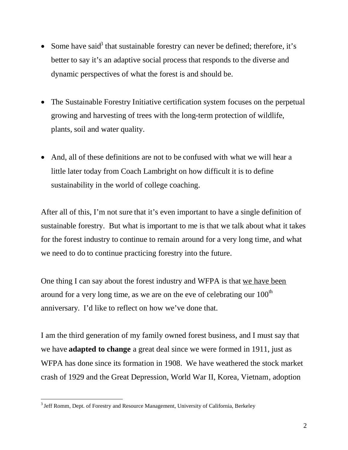- Some have said<sup>3</sup> that sustainable forestry can never be defined; therefore, it's better to say it's an adaptive social process that responds to the diverse and dynamic perspectives of what the forest is and should be.
- The Sustainable Forestry Initiative certification system focuses on the perpetual growing and harvesting of trees with the long-term protection of wildlife, plants, soil and water quality.
- And, all of these definitions are not to be confused with what we will hear a little later today from Coach Lambright on how difficult it is to define sustainability in the world of college coaching.

After all of this, I'm not sure that it's even important to have a single definition of sustainable forestry. But what is important to me is that we talk about what it takes for the forest industry to continue to remain around for a very long time, and what we need to do to continue practicing forestry into the future.

One thing I can say about the forest industry and WFPA is that we have been around for a very long time, as we are on the eve of celebrating our  $100<sup>th</sup>$ anniversary. I'd like to reflect on how we've done that.

I am the third generation of my family owned forest business, and I must say that we have **adapted to change** a great deal since we were formed in 1911, just as WFPA has done since its formation in 1908. We have weathered the stock market crash of 1929 and the Great Depression, World War II, Korea, Vietnam, adoption

 $3$  Jeff Romm, Dept. of Forestry and Resource Management, University of California, Berkeley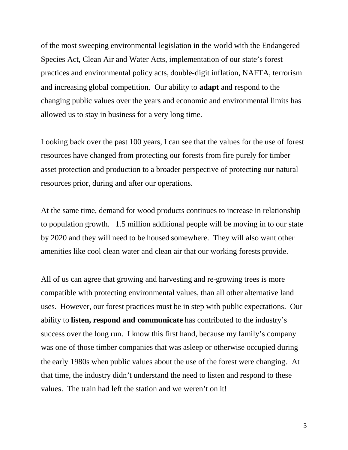of the most sweeping environmental legislation in the world with the Endangered Species Act, Clean Air and Water Acts, implementation of our state's forest practices and environmental policy acts, double-digit inflation, NAFTA, terrorism and increasing global competition. Our ability to **adapt** and respond to the changing public values over the years and economic and environmental limits has allowed us to stay in business for a very long time.

Looking back over the past 100 years, I can see that the values for the use of forest resources have changed from protecting our forests from fire purely for timber asset protection and production to a broader perspective of protecting our natural resources prior, during and after our operations.

At the same time, demand for wood products continues to increase in relationship to population growth. 1.5 million additional people will be moving in to our state by 2020 and they will need to be housed somewhere. They will also want other amenities like cool clean water and clean air that our working forests provide.

All of us can agree that growing and harvesting and re-growing trees is more compatible with protecting environmental values, than all other alternative land uses. However, our forest practices must be in step with public expectations. Our ability to **listen, respond and communicate** has contributed to the industry's success over the long run. I know this first hand, because my family's company was one of those timber companies that was asleep or otherwise occupied during the early 1980s when public values about the use of the forest were changing. At that time, the industry didn't understand the need to listen and respond to these values. The train had left the station and we weren't on it!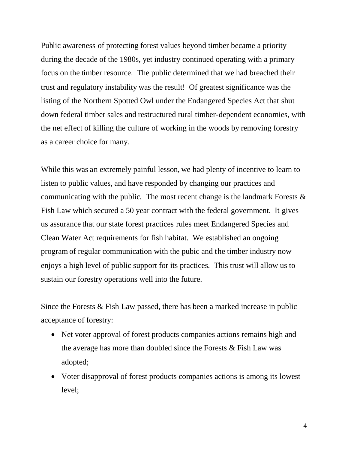Public awareness of protecting forest values beyond timber became a priority during the decade of the 1980s, yet industry continued operating with a primary focus on the timber resource. The public determined that we had breached their trust and regulatory instability was the result! Of greatest significance was the listing of the Northern Spotted Owl under the Endangered Species Act that shut down federal timber sales and restructured rural timber-dependent economies, with the net effect of killing the culture of working in the woods by removing forestry as a career choice for many.

While this was an extremely painful lesson, we had plenty of incentive to learn to listen to public values, and have responded by changing our practices and communicating with the public. The most recent change is the landmark Forests  $\&$ Fish Law which secured a 50 year contract with the federal government. It gives us assurance that our state forest practices rules meet Endangered Species and Clean Water Act requirements for fish habitat. We established an ongoing program of regular communication with the pubic and the timber industry now enjoys a high level of public support for its practices. This trust will allow us to sustain our forestry operations well into the future.

Since the Forests & Fish Law passed, there has been a marked increase in public acceptance of forestry:

- Net voter approval of forest products companies actions remains high and the average has more than doubled since the Forests & Fish Law was adopted;
- Voter disapproval of forest products companies actions is among its lowest level;